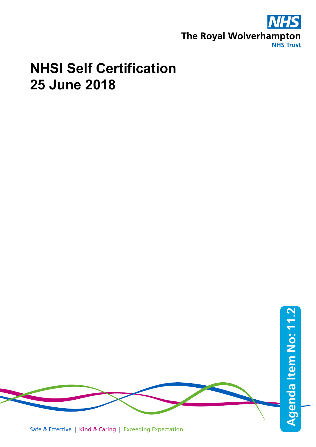

## **NHSI Self Certification 25 June 2018**

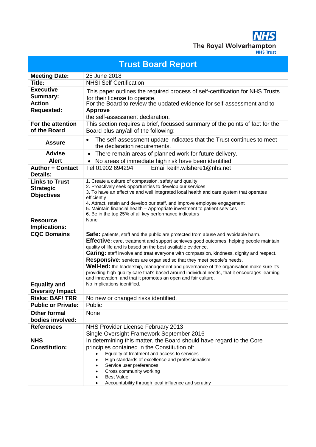The Royal Wolverhampton **NHS Trust** 

**Trust Board Report Meeting Date:** 25 June 2018 **Title:** NHSI Self Certification **Executive Summary:** This paper outlines the required process of self-certification for NHS Trusts for their license to operate. **Action Requested:**  For the Board to review the updated evidence for self-assessment and to **Approve**  the self-assessment declaration. **For the attention of the Board** This section requires a brief, focussed summary of the points of fact for the Board plus any/all of the following: **Assure** • The self-assessment update indicates that the Trust continues to meet the declaration requirements. Advise **•** There remain areas of planned work for future delivery. **Alert** • No areas of immediate high risk have been identified. **Author + Contact Details:** Tel 01902 694294 Email keith.wilshere1@nhs.net **Links to Trust Strategic Objectives** 1. Create a culture of compassion, safety and quality 2. Proactively seek opportunities to develop our services 3. To have an effective and well integrated local health and care system that operates efficiently 4. Attract, retain and develop our staff, and improve employee engagement 5. Maintain financial health – Appropriate investment to patient services 6. Be in the top 25% of all key performance indicators **Resource Implications:** None **CQC Domains Safe:** patients, staff and the public are protected from abuse and avoidable harm. **Effective:** care, treatment and support achieves good outcomes, helping people maintain quality of life and is based on the best available evidence. **Caring:** staff involve and treat everyone with compassion, kindness, dignity and respect. **Responsive:** services are organised so that they meet people's needs. **Well-led:** the leadership, management and governance of the organisation make sure it's providing high-quality care that's based around individual needs, that it encourages learning and innovation, and that it promotes an open and fair culture. **Equality and Diversity Impact** No implications identified. **Risks: BAF/ TRR** No new or changed risks identified. **Public or Private:** Public **Other formal bodies involved:** None **References** NHS Provider License February 2013 Single Oversight Framework September 2016 **NHS Constitution:**  In determining this matter, the Board should have regard to the Core principles contained in the Constitution of: • Equality of treatment and access to services • High standards of excellence and professionalism Service user preferences Cross community working **Best Value** • Accountability through local influence and scrutiny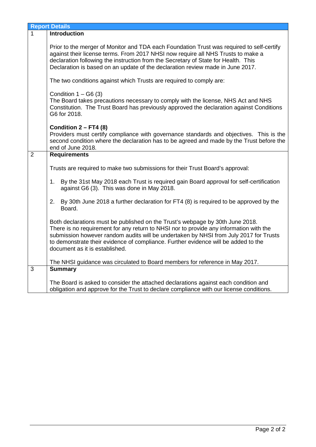|                | <b>Report Details</b>                                                                                                                                                                                                                                                                                                                                                                    |  |  |  |  |  |
|----------------|------------------------------------------------------------------------------------------------------------------------------------------------------------------------------------------------------------------------------------------------------------------------------------------------------------------------------------------------------------------------------------------|--|--|--|--|--|
| $\mathbf{1}$   | Introduction                                                                                                                                                                                                                                                                                                                                                                             |  |  |  |  |  |
|                | Prior to the merger of Monitor and TDA each Foundation Trust was required to self-certify<br>against their license terms. From 2017 NHSI now require all NHS Trusts to make a<br>declaration following the instruction from the Secretary of State for Health. This<br>Declaration is based on an update of the declaration review made in June 2017.                                    |  |  |  |  |  |
|                | The two conditions against which Trusts are required to comply are:                                                                                                                                                                                                                                                                                                                      |  |  |  |  |  |
|                | Condition $1 - G6(3)$<br>The Board takes precautions necessary to comply with the license, NHS Act and NHS<br>Constitution. The Trust Board has previously approved the declaration against Conditions<br>G6 for 2018.                                                                                                                                                                   |  |  |  |  |  |
|                | Condition $2 - FT4$ (8)<br>Providers must certify compliance with governance standards and objectives. This is the<br>second condition where the declaration has to be agreed and made by the Trust before the<br>end of June 2018.                                                                                                                                                      |  |  |  |  |  |
| $\overline{2}$ | <b>Requirements</b>                                                                                                                                                                                                                                                                                                                                                                      |  |  |  |  |  |
|                | Trusts are required to make two submissions for their Trust Board's approval:                                                                                                                                                                                                                                                                                                            |  |  |  |  |  |
|                | By the 31st May 2018 each Trust is required gain Board approval for self-certification<br>1.<br>against G6 (3). This was done in May 2018.                                                                                                                                                                                                                                               |  |  |  |  |  |
|                | 2.<br>By 30th June 2018 a further declaration for FT4 (8) is required to be approved by the<br>Board.                                                                                                                                                                                                                                                                                    |  |  |  |  |  |
|                | Both declarations must be published on the Trust's webpage by 30th June 2018.<br>There is no requirement for any return to NHSI nor to provide any information with the<br>submission however random audits will be undertaken by NHSI from July 2017 for Trusts<br>to demonstrate their evidence of compliance. Further evidence will be added to the<br>document as it is established. |  |  |  |  |  |
|                | The NHSI guidance was circulated to Board members for reference in May 2017.                                                                                                                                                                                                                                                                                                             |  |  |  |  |  |
| 3              | <b>Summary</b>                                                                                                                                                                                                                                                                                                                                                                           |  |  |  |  |  |
|                | The Board is asked to consider the attached declarations against each condition and<br>obligation and approve for the Trust to declare compliance with our license conditions.                                                                                                                                                                                                           |  |  |  |  |  |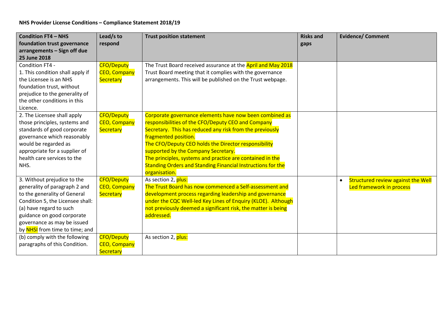| <b>Condition FT4 - NHS</b>       | Lead/s to           | <b>Trust position statement</b>                               | <b>Risks and</b> | <b>Evidence/ Comment</b>                  |
|----------------------------------|---------------------|---------------------------------------------------------------|------------------|-------------------------------------------|
| foundation trust governance      | respond             |                                                               | gaps             |                                           |
| arrangements - Sign off due      |                     |                                                               |                  |                                           |
| 25 June 2018                     |                     |                                                               |                  |                                           |
| Condition FT4 -                  | <b>CFO/Deputy</b>   | The Trust Board received assurance at the April and May 2018  |                  |                                           |
| 1. This condition shall apply if | <b>CEO, Company</b> | Trust Board meeting that it complies with the governance      |                  |                                           |
| the Licensee is an NHS           | Secretary           | arrangements. This will be published on the Trust webpage.    |                  |                                           |
| foundation trust, without        |                     |                                                               |                  |                                           |
| prejudice to the generality of   |                     |                                                               |                  |                                           |
| the other conditions in this     |                     |                                                               |                  |                                           |
| Licence.                         |                     |                                                               |                  |                                           |
| 2. The Licensee shall apply      | <b>CFO/Deputy</b>   | Corporate governance elements have now been combined as       |                  |                                           |
| those principles, systems and    | <b>CEO, Company</b> | responsibilities of the CFO/Deputy CEO and Company            |                  |                                           |
| standards of good corporate      | Secretary           | Secretary. This has reduced any risk from the previously      |                  |                                           |
| governance which reasonably      |                     | fragmented position.                                          |                  |                                           |
| would be regarded as             |                     | The CFO/Deputy CEO holds the Director responsibility          |                  |                                           |
| appropriate for a supplier of    |                     | supported by the Company Secretary.                           |                  |                                           |
| health care services to the      |                     | The principles, systems and practice are contained in the     |                  |                                           |
| NHS.                             |                     | Standing Orders and Standing Financial Instructions for the   |                  |                                           |
|                                  |                     | organisation.                                                 |                  |                                           |
| 3. Without prejudice to the      | <b>CFO/Deputy</b>   | As section 2, plus:                                           |                  | <b>Structured review against the Well</b> |
| generality of paragraph 2 and    | <b>CEO, Company</b> | The Trust Board has now commenced a Self-assessment and       |                  | Led framework in process                  |
| to the generality of General     | Secretary           | development process regarding leadership and governance       |                  |                                           |
| Condition 5, the Licensee shall: |                     | under the CQC Well-led Key Lines of Enquiry (KLOE). Although  |                  |                                           |
| (a) have regard to such          |                     | not previously deemed a significant risk, the matter is being |                  |                                           |
| guidance on good corporate       |                     | addressed.                                                    |                  |                                           |
| governance as may be issued      |                     |                                                               |                  |                                           |
| by NHSI from time to time; and   |                     |                                                               |                  |                                           |
| (b) comply with the following    | <b>CFO/Deputy</b>   | As section 2, plus:                                           |                  |                                           |
| paragraphs of this Condition.    | <b>CEO, Company</b> |                                                               |                  |                                           |
|                                  | Secretary           |                                                               |                  |                                           |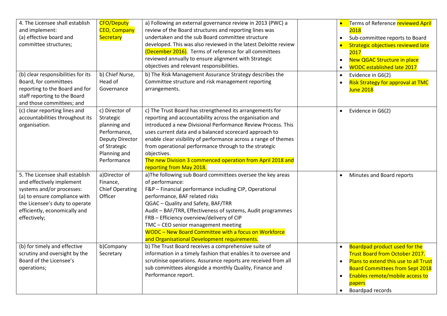| 4. The Licensee shall establish<br>and implement:<br>(a) effective board and                                                                                                                                  | <b>CFO/Deputy</b><br><b>CEO, Company</b><br>Secretary                                                                                | a) Following an external governance review in 2013 (PWC) a<br>review of the Board structures and reporting lines was<br>undertaken and the sub Board committee structure                                                                                                                                                                                                                                                                                                            | Terms of Reference <b>reviewed April</b><br>2018<br>Sub-committee reports to Board<br>$\bullet$                                                                                                                                                      |
|---------------------------------------------------------------------------------------------------------------------------------------------------------------------------------------------------------------|--------------------------------------------------------------------------------------------------------------------------------------|-------------------------------------------------------------------------------------------------------------------------------------------------------------------------------------------------------------------------------------------------------------------------------------------------------------------------------------------------------------------------------------------------------------------------------------------------------------------------------------|------------------------------------------------------------------------------------------------------------------------------------------------------------------------------------------------------------------------------------------------------|
| committee structures;                                                                                                                                                                                         |                                                                                                                                      | developed. This was also reviewed in the latest Deloitte review<br>(December 2016). Terms of reference for all committees<br>reviewed annually to ensure alignment with Strategic<br>objectives and relevant responsibilities.                                                                                                                                                                                                                                                      | Strategic objectives reviewed late<br>2017<br><b>New QGAC Structure in place</b><br>$\bullet$<br><b>WODC established late 2017</b>                                                                                                                   |
| (b) clear responsibilities for its<br>Board, for committees<br>reporting to the Board and for<br>staff reporting to the Board<br>and those committees; and                                                    | b) Chief Nurse,<br>Head of<br>Governance                                                                                             | b) The Risk Management Assurance Strategy describes the<br>Committee structure and risk management reporting<br>arrangements.                                                                                                                                                                                                                                                                                                                                                       | Evidence in G6(2)<br>$\bullet$<br><b>Risk Strategy for approval at TMC</b><br><b>June 2018</b>                                                                                                                                                       |
| (c) clear reporting lines and<br>accountabilities throughout its<br>organisation.                                                                                                                             | c) Director of<br>Strategic<br>planning and<br>Performance,<br><b>Deputy Director</b><br>of Strategic<br>Planning and<br>Performance | c) The Trust Board has strengthened its arrangements for<br>reporting and accountability across the organisation and<br>introduced a new Divisional Performance Review Process. This<br>uses current data and a balanced scorecard approach to<br>enable clear visibility of performance across a range of themes<br>from operational performance through to the strategic<br>objectives.<br>The new Division 3 commenced operation from April 2018 and<br>reporting from May 2018. | Evidence in G6(2)<br>$\bullet$                                                                                                                                                                                                                       |
| 5. The Licensee shall establish<br>and effectively implement<br>systems and/or processes:<br>(a) to ensure compliance with<br>the Licensee's duty to operate<br>efficiently, economically and<br>effectively; | a)Director of<br>Finance,<br><b>Chief Operating</b><br>Officer                                                                       | a) The following sub Board committees oversee the key areas<br>of performance:<br>F&P - Financial performance including CIP, Operational<br>performance, BAF related risks<br>QGAC - Quality and Safety, BAF/TRR<br>Audit - BAF/TRR, Effectiveness of systems, Audit programmes<br>FRB - Efficiency overview/delivery of CIP<br>TMC - CEO senior management meeting<br>WODC - New Board Committee with a focus on Workforce<br>and Organisational Development requirements.         | Minutes and Board reports<br>$\bullet$                                                                                                                                                                                                               |
| (b) for timely and effective<br>scrutiny and oversight by the<br>Board of the Licensee's<br>operations;                                                                                                       | b)Company<br>Secretary                                                                                                               | b) The Trust Board receives a comprehensive suite of<br>information in a timely fashion that enables it to oversee and<br>scrutinise operations. Assurance reports are received from all<br>sub committees alongside a monthly Quality, Finance and<br>Performance report.                                                                                                                                                                                                          | Boardpad product used for the<br><b>Trust Board from October 2017.</b><br>Plans to extend this use to all Trust<br>$\bullet$<br><b>Board Committees from Sept 2018</b><br>Enables remote/mobile access to<br>papers<br>Boardpad records<br>$\bullet$ |